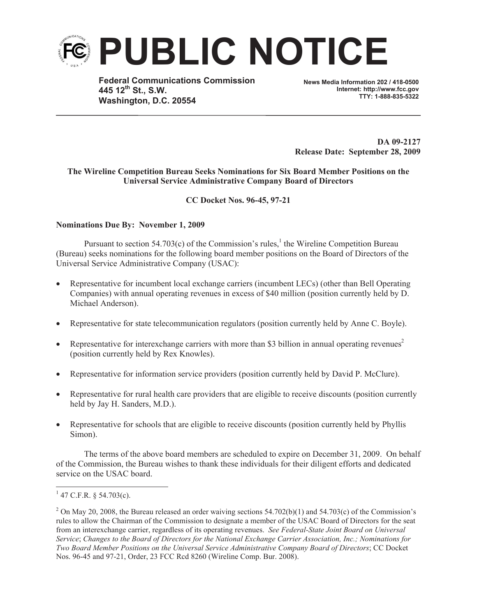

**Federal Communications Commission 445 12th St., S.W. Washington, D.C. 20554**

**News Media Information 202 / 418-0500 Internet: http://www.fcc.gov TTY: 1-888-835-5322**

**DA 09-2127 Release Date: September 28, 2009**

# **The Wireline Competition Bureau Seeks Nominations for Six Board Member Positions on the Universal Service Administrative Company Board of Directors**

# **CC Docket Nos. 96-45, 97-21**

# **Nominations Due By: November 1, 2009**

Pursuant to section  $54.703(c)$  of the Commission's rules,<sup>1</sup> the Wireline Competition Bureau (Bureau) seeks nominations for the following board member positions on the Board of Directors of the Universal Service Administrative Company (USAC):

- Representative for incumbent local exchange carriers (incumbent LECs) (other than Bell Operating Companies) with annual operating revenues in excess of \$40 million (position currently held by D. Michael Anderson).
- Representative for state telecommunication regulators (position currently held by Anne C. Boyle).
- Representative for interexchange carriers with more than \$3 billion in annual operating revenues<sup>2</sup> (position currently held by Rex Knowles).
- Representative for information service providers (position currently held by David P. McClure).
- · Representative for rural health care providers that are eligible to receive discounts (position currently held by Jay H. Sanders, M.D.).
- Representative for schools that are eligible to receive discounts (position currently held by Phyllis Simon).

The terms of the above board members are scheduled to expire on December 31, 2009. On behalf of the Commission, the Bureau wishes to thank these individuals for their diligent efforts and dedicated service on the USAC board.

 $1$  47 C.F.R. § 54.703(c).

<sup>&</sup>lt;sup>2</sup> On May 20, 2008, the Bureau released an order waiving sections  $54.702(b)(1)$  and  $54.703(c)$  of the Commission's rules to allow the Chairman of the Commission to designate a member of the USAC Board of Directors for the seat from an interexchange carrier, regardless of its operating revenues. *See Federal-State Joint Board on Universal Service*; *Changes to the Board of Directors for the National Exchange Carrier Association, Inc.; Nominations for Two Board Member Positions on the Universal Service Administrative Company Board of Directors*; CC Docket Nos. 96-45 and 97-21, Order, 23 FCC Rcd 8260 (Wireline Comp. Bur. 2008).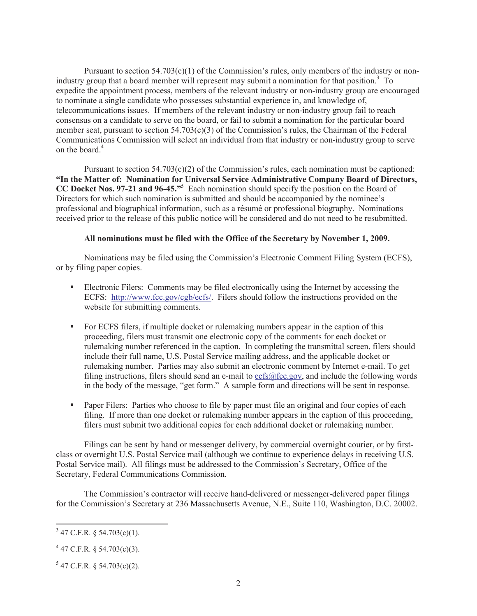Pursuant to section  $54.703(c)(1)$  of the Commission's rules, only members of the industry or nonindustry group that a board member will represent may submit a nomination for that position.<sup>3</sup> To expedite the appointment process, members of the relevant industry or non-industry group are encouraged to nominate a single candidate who possesses substantial experience in, and knowledge of, telecommunications issues. If members of the relevant industry or non-industry group fail to reach consensus on a candidate to serve on the board, or fail to submit a nomination for the particular board member seat, pursuant to section 54.703(c)(3) of the Commission's rules, the Chairman of the Federal Communications Commission will select an individual from that industry or non-industry group to serve on the board. $4$ 

Pursuant to section 54.703(c)(2) of the Commission's rules, each nomination must be captioned: **"In the Matter of: Nomination for Universal Service Administrative Company Board of Directors, CC Docket Nos. 97-21 and 96-45."**<sup>5</sup> Each nomination should specify the position on the Board of Directors for which such nomination is submitted and should be accompanied by the nominee's professional and biographical information, such as a résumé or professional biography. Nominations received prior to the release of this public notice will be considered and do not need to be resubmitted.

### **All nominations must be filed with the Office of the Secretary by November 1, 2009.**

Nominations may be filed using the Commission's Electronic Comment Filing System (ECFS), or by filing paper copies.

- Electronic Filers: Comments may be filed electronically using the Internet by accessing the ECFS: http://www.fcc.gov/cgb/ecfs/. Filers should follow the instructions provided on the website for submitting comments.
- For ECFS filers, if multiple docket or rulemaking numbers appear in the caption of this proceeding, filers must transmit one electronic copy of the comments for each docket or rulemaking number referenced in the caption. In completing the transmittal screen, filers should include their full name, U.S. Postal Service mailing address, and the applicable docket or rulemaking number. Parties may also submit an electronic comment by Internet e-mail. To get filing instructions, filers should send an e-mail to  $\epsilon$ cfs@fcc.gov, and include the following words in the body of the message, "get form." A sample form and directions will be sent in response.
- Paper Filers: Parties who choose to file by paper must file an original and four copies of each filing. If more than one docket or rulemaking number appears in the caption of this proceeding, filers must submit two additional copies for each additional docket or rulemaking number.

Filings can be sent by hand or messenger delivery, by commercial overnight courier, or by firstclass or overnight U.S. Postal Service mail (although we continue to experience delays in receiving U.S. Postal Service mail). All filings must be addressed to the Commission's Secretary, Office of the Secretary, Federal Communications Commission.

The Commission's contractor will receive hand-delivered or messenger-delivered paper filings for the Commission's Secretary at 236 Massachusetts Avenue, N.E., Suite 110, Washington, D.C. 20002.

 $3$  47 C.F.R. § 54.703(c)(1).

 $4$  47 C.F.R. § 54.703(c)(3).

 $5$  47 C.F.R. § 54.703(c)(2).